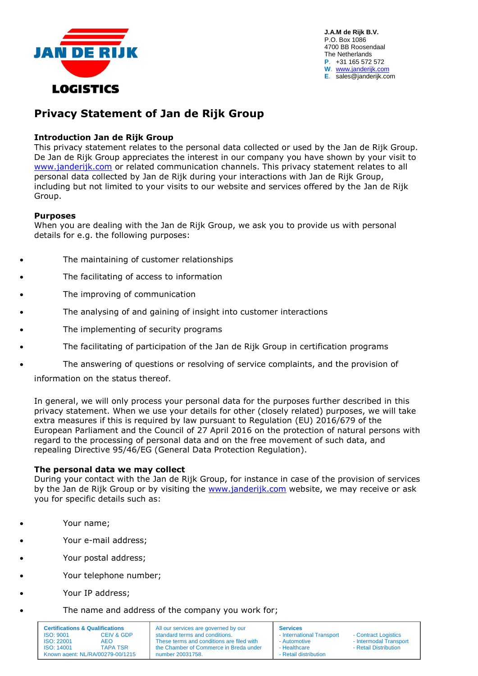

**J.A.M de Rijk B.V.** P.O. Box 1086 4700 BB Roosendaal The Netherlands **P**. +31 165 572 572 **W**. [www.janderijk.com](http://www.janderijk.com/) **E**. sales@janderijk.com

# **Privacy Statement of Jan de Rijk Group**

# **Introduction Jan de Rijk Group**

This privacy statement relates to the personal data collected or used by the Jan de Rijk Group. De Jan de Rijk Group appreciates the interest in our company you have shown by your visit to [www.janderijk.com](http://www.janderijk.com/) or related communication channels. This privacy statement relates to all personal data collected by Jan de Rijk during your interactions with Jan de Rijk Group, including but not limited to your visits to our website and services offered by the Jan de Rijk Group.

#### **Purposes**

When you are dealing with the Jan de Rijk Group, we ask you to provide us with personal details for e.g. the following purposes:

- The maintaining of customer relationships
- The facilitating of access to information
- The improving of communication
- The analysing of and gaining of insight into customer interactions
- The implementing of security programs
- The facilitating of participation of the Jan de Rijk Group in certification programs
- The answering of questions or resolving of service complaints, and the provision of

information on the status thereof.

In general, we will only process your personal data for the purposes further described in this privacy statement. When we use your details for other (closely related) purposes, we will take extra measures if this is required by law pursuant to Regulation (EU) 2016/679 of the European Parliament and the Council of 27 April 2016 on the protection of natural persons with regard to the processing of personal data and on the free movement of such data, and repealing Directive 95/46/EG (General Data Protection Regulation).

#### **The personal data we may collect**

During your contact with the Jan de Rijk Group, for instance in case of the provision of services by the Jan de Rijk Group or by visiting the [www.janderijk.com](http://www.janderijk.com/) website, we may receive or ask you for specific details such as:

- Your name;
- Your e-mail address;
- Your postal address;
- Your telephone number;
- Your IP address;
	- The name and address of the company you work for;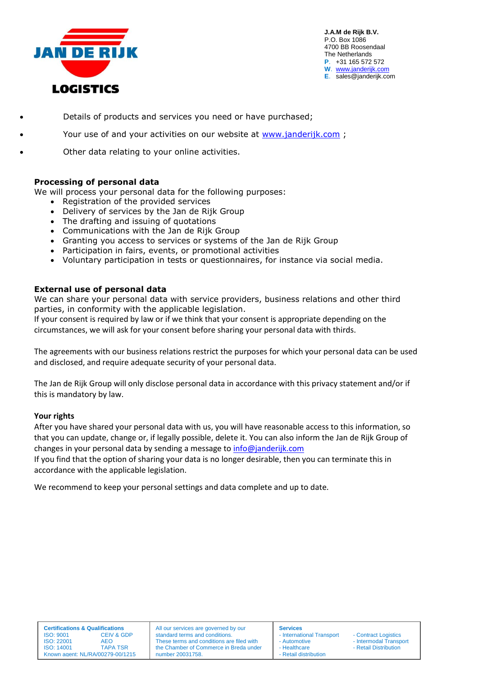

**J.A.M de Rijk B.V.** P.O. Box 1086 4700 BB Roosendaal The Netherlands **P**. +31 165 572 572 **W**. [www.janderijk.com](http://www.janderijk.com/) **E**. sales@janderijk.com

- Details of products and services you need or have purchased;
- Your use of and your activities on our website at [www.janderijk.com](http://www.janderijk.com/) ;
- Other data relating to your online activities.

#### **Processing of personal data**

We will process your personal data for the following purposes:

- Registration of the provided services
- Delivery of services by the Jan de Rijk Group
- The drafting and issuing of quotations
- Communications with the Jan de Rijk Group
- Granting you access to services or systems of the Jan de Rijk Group
- Participation in fairs, events, or promotional activities
- Voluntary participation in tests or questionnaires, for instance via social media.

#### **External use of personal data**

We can share your personal data with service providers, business relations and other third parties, in conformity with the applicable legislation.

If your consent is required by law or if we think that your consent is appropriate depending on the circumstances, we will ask for your consent before sharing your personal data with thirds.

The agreements with our business relations restrict the purposes for which your personal data can be used and disclosed, and require adequate security of your personal data.

The Jan de Rijk Group will only disclose personal data in accordance with this privacy statement and/or if this is mandatory by law.

#### **Your rights**

After you have shared your personal data with us, you will have reasonable access to this information, so that you can update, change or, if legally possible, delete it. You can also inform the Jan de Rijk Group of changes in your personal data by sending a message to [info@janderijk.com](mailto:info@janderijk.com)

If you find that the option of sharing your data is no longer desirable, then you can terminate this in accordance with the applicable legislation.

We recommend to keep your personal settings and data complete and up to date.

| <b>Certifications &amp; Qualifications</b> |                       |
|--------------------------------------------|-----------------------|
| ISO: 9001                                  | <b>CEIV &amp; GDP</b> |
| ISO:22001                                  | AFO                   |
| ISO: 14001                                 | <b>TAPA TSR</b>       |
| Known agent: NL/RA/00279-00/1215           |                       |

All our services are governed by our standard terms and conditions. These terms and conditions are filed with the Chamber of Commerce in Breda under number 20031758.

**Services** International Transport - Contract Logistics - Healthcare **- Retail Distribution** - Retail distribution

Automotive - Intermodal Transport